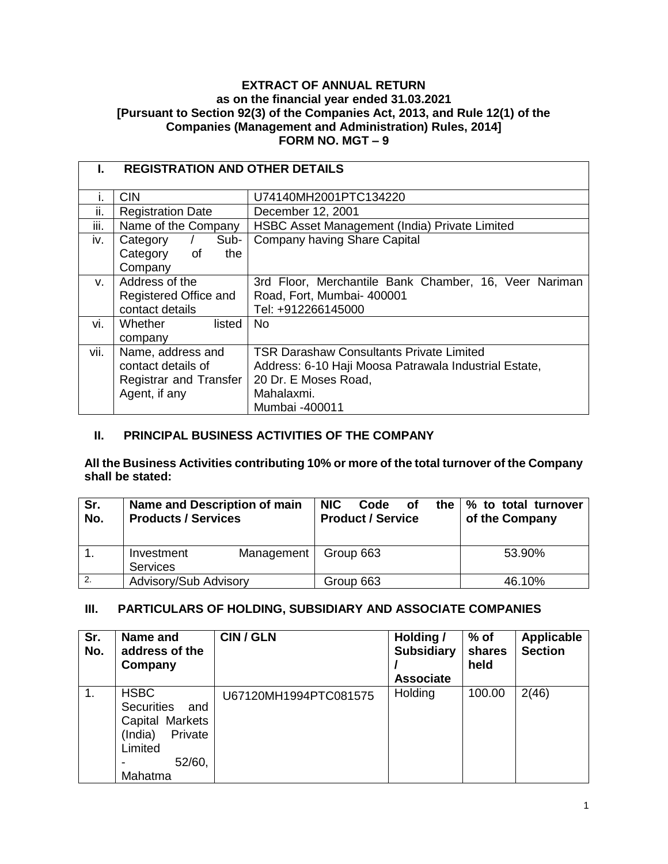### **EXTRACT OF ANNUAL RETURN as on the financial year ended 31.03.2021 [Pursuant to Section 92(3) of the Companies Act, 2013, and Rule 12(1) of the Companies (Management and Administration) Rules, 2014] FORM NO. MGT – 9**

|      | <b>REGISTRATION AND OTHER DETAILS</b> |                                                       |  |  |  |  |
|------|---------------------------------------|-------------------------------------------------------|--|--|--|--|
|      | <b>CIN</b>                            | U74140MH2001PTC134220                                 |  |  |  |  |
| II.  | <b>Registration Date</b>              | December 12, 2001                                     |  |  |  |  |
| iii. | Name of the Company                   | HSBC Asset Management (India) Private Limited         |  |  |  |  |
| iv.  | Sub-<br>Category                      | Company having Share Capital                          |  |  |  |  |
|      | Category<br>the<br>of                 |                                                       |  |  |  |  |
|      | Company                               |                                                       |  |  |  |  |
| V.   | Address of the                        | 3rd Floor, Merchantile Bank Chamber, 16, Veer Nariman |  |  |  |  |
|      | Registered Office and                 | Road, Fort, Mumbai- 400001                            |  |  |  |  |
|      | contact details                       | Tel: +912266145000                                    |  |  |  |  |
| vi.  | Whether<br>listed                     | No.                                                   |  |  |  |  |
|      | company                               |                                                       |  |  |  |  |
| vii. | Name, address and                     | <b>TSR Darashaw Consultants Private Limited</b>       |  |  |  |  |
|      | contact details of                    | Address: 6-10 Haji Moosa Patrawala Industrial Estate, |  |  |  |  |
|      | Registrar and Transfer                | 20 Dr. E Moses Road,                                  |  |  |  |  |
|      | Agent, if any                         | Mahalaxmi.                                            |  |  |  |  |
|      |                                       | Mumbai -400011                                        |  |  |  |  |

## **II. PRINCIPAL BUSINESS ACTIVITIES OF THE COMPANY**

**All the Business Activities contributing 10% or more of the total turnover of the Company shall be stated:** 

| Sr.<br>No. | Name and Description of main<br><b>Products / Services</b> | NIC.<br>the I<br>Code<br>οf<br><b>Product / Service</b> | % to total turnover<br>of the Company |
|------------|------------------------------------------------------------|---------------------------------------------------------|---------------------------------------|
|            | Management<br>Investment<br><b>Services</b>                | Group 663                                               | 53.90%                                |
| 2.         | Advisory/Sub Advisory                                      | Group 663                                               | 46.10%                                |

## **III. PARTICULARS OF HOLDING, SUBSIDIARY AND ASSOCIATE COMPANIES**

| Sr.<br>No. | Name and<br>address of the<br>Company                                                                            | CIN / GLN             | Holding /<br><b>Subsidiary</b><br><b>Associate</b> | $%$ of<br>shares<br>held | <b>Applicable</b><br><b>Section</b> |
|------------|------------------------------------------------------------------------------------------------------------------|-----------------------|----------------------------------------------------|--------------------------|-------------------------------------|
| 1.         | <b>HSBC</b><br><b>Securities</b><br>and<br>Capital Markets<br>Private<br>(India)<br>Limited<br>52/60,<br>Mahatma | U67120MH1994PTC081575 | Holding                                            | 100.00                   | 2(46)                               |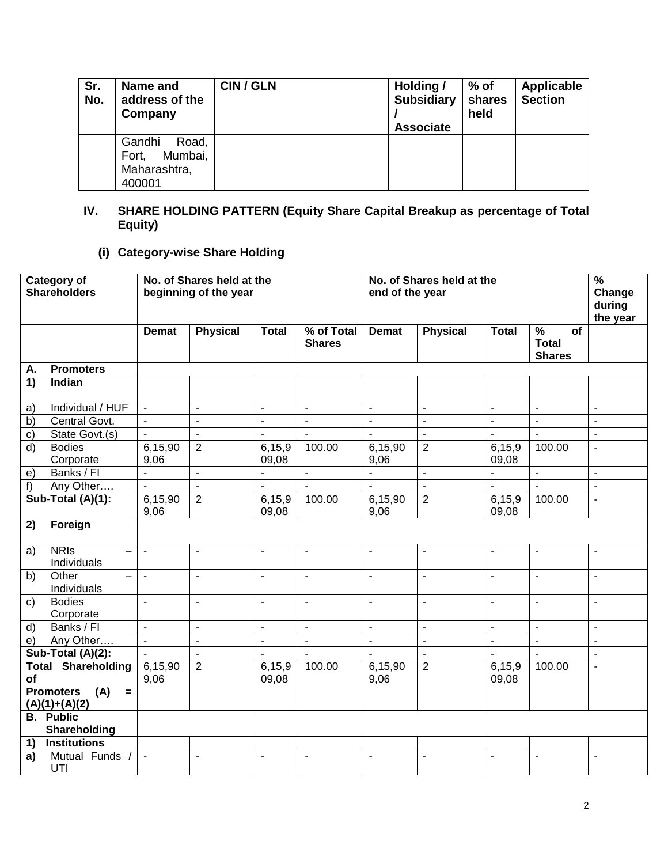| Sr.<br>No. | Name and<br>address of the<br>Company                         | CIN / GLN | Holding /<br><b>Subsidiary</b><br><b>Associate</b> | % of<br>shares<br>held | Applicable<br><b>Section</b> |
|------------|---------------------------------------------------------------|-----------|----------------------------------------------------|------------------------|------------------------------|
|            | Gandhi<br>Road,<br>Mumbai,<br>Fort.<br>Maharashtra,<br>400001 |           |                                                    |                        |                              |

# **IV. SHARE HOLDING PATTERN (Equity Share Capital Breakup as percentage of Total Equity)**

# **(i) Category-wise Share Holding**

|              | <b>Category of</b><br><b>Shareholders</b>                                      | No. of Shares held at the<br>beginning of the year |                          |                          |                             | No. of Shares held at the<br>end of the year |                          |                     |                                                      | $\frac{9}{6}$<br>Change<br>during<br>the year |
|--------------|--------------------------------------------------------------------------------|----------------------------------------------------|--------------------------|--------------------------|-----------------------------|----------------------------------------------|--------------------------|---------------------|------------------------------------------------------|-----------------------------------------------|
|              |                                                                                | <b>Demat</b>                                       | <b>Physical</b>          | <b>Total</b>             | % of Total<br><b>Shares</b> | <b>Demat</b>                                 | <b>Physical</b>          | <b>Total</b>        | $\frac{9}{6}$<br>of<br><b>Total</b><br><b>Shares</b> |                                               |
| А.           | <b>Promoters</b>                                                               |                                                    |                          |                          |                             |                                              |                          |                     |                                                      |                                               |
| 1)           | Indian                                                                         |                                                    |                          |                          |                             |                                              |                          |                     |                                                      |                                               |
| a)           | Individual / HUF                                                               | $\blacksquare$                                     | $\overline{\phantom{a}}$ | $\blacksquare$           | $\blacksquare$              | $\blacksquare$                               | $\blacksquare$           | $\blacksquare$      | $\blacksquare$                                       | $\blacksquare$                                |
| b)           | Central Govt.                                                                  | $\blacksquare$                                     | ÷,                       | $\overline{\phantom{a}}$ | $\mathbf{r}$                | $\overline{a}$                               | $\overline{\phantom{a}}$ | $\blacksquare$      | $\blacksquare$                                       | $\blacksquare$                                |
| $\mathbf{c}$ | State Govt.(s)                                                                 | $\blacksquare$                                     | $\overline{a}$           | $\blacksquare$           | $\sim$                      | $\overline{a}$                               | $\blacksquare$           | $\blacksquare$      | $\overline{\phantom{a}}$                             | $\overline{\phantom{a}}$                      |
| d)           | <b>Bodies</b>                                                                  | 6,15,90                                            | $\overline{2}$           | 6,15,9                   | 100.00                      | 6,15,90                                      | $\overline{2}$           | 6,15,9              | 100.00                                               | $\blacksquare$                                |
|              | Corporate                                                                      | 9,06                                               |                          | 09,08                    |                             | 9,06                                         |                          | 09,08               |                                                      |                                               |
| e)           | Banks / FI                                                                     | $\blacksquare$                                     | $\mathbf{r}$             | $\blacksquare$           | $\mathbf{r}$                | $\blacksquare$                               | $\overline{\phantom{a}}$ |                     | $\mathbf{r}$                                         | $\blacksquare$                                |
| f            | Any Other                                                                      | $\blacksquare$                                     | $\overline{\phantom{a}}$ | $\blacksquare$           |                             | $\blacksquare$                               | $\blacksquare$           |                     |                                                      | $\blacksquare$                                |
|              | Sub-Total (A)(1):                                                              | 6,15,90                                            | $\overline{2}$           | 6,15,9                   | 100.00                      | 6,15,90                                      | $\overline{2}$           | 6,15,9              | 100.00                                               | $\mathbf{r}$                                  |
|              |                                                                                | 9,06                                               |                          | 09,08                    |                             | 9,06                                         |                          | 09,08               |                                                      |                                               |
| 2)           | Foreign                                                                        |                                                    |                          |                          |                             |                                              |                          |                     |                                                      |                                               |
| a)           | <b>NRIS</b><br>$\overline{\phantom{0}}$<br>Individuals                         | $\blacksquare$                                     | $\blacksquare$           | $\overline{\phantom{a}}$ | $\overline{\phantom{a}}$    | $\blacksquare$                               | $\overline{\phantom{a}}$ | $\blacksquare$      | $\overline{\phantom{a}}$                             | $\blacksquare$                                |
| b)           | Other<br>Individuals                                                           | $\blacksquare$                                     | $\blacksquare$           | $\blacksquare$           | $\blacksquare$              | $\blacksquare$                               | $\blacksquare$           | $\blacksquare$      | $\blacksquare$                                       | $\blacksquare$                                |
| C)           | <b>Bodies</b><br>Corporate                                                     | $\mathbf{r}$                                       | $\sim$                   | $\blacksquare$           | $\overline{\phantom{a}}$    | $\blacksquare$                               | ä,                       | $\mathbf{r}$        | $\sim$                                               | $\blacksquare$                                |
| d)           | Banks / FI                                                                     | $\mathbf{r}$                                       | $\overline{a}$           | $\mathbf{r}$             | $\overline{a}$              | $\overline{a}$                               | $\overline{\phantom{a}}$ | $\bar{\phantom{a}}$ | $\mathbf{L}$                                         | $\overline{a}$                                |
| e)           | Any Other                                                                      | $\mathbb{Z}^2$                                     | $\mathbb{Z}^2$           | $\mathbf{r}$             | $\mathbb{Z}^2$              | $\mathbf{r}$                                 | $\overline{\phantom{a}}$ | $\bar{\phantom{a}}$ | $\mathbb{Z}^2$                                       | $\mathbb{Z}$                                  |
|              | Sub-Total (A)(2):                                                              | $\mathbf{r}$                                       | $\mathbb{Z}^2$           | $\mathbf{r}$             | $\mathbf{r}$                | $\overline{a}$                               | $\mathbf{r}$             | $\mathbf{r}$        | $\mathbf{r}$                                         | $\mathbf{r}$                                  |
| of           | <b>Total Shareholding</b><br><b>Promoters</b><br>(A)<br>$=$<br>$(A)(1)+(A)(2)$ | 6,15,90<br>9,06                                    | $\overline{2}$           | 6,15,9<br>09,08          | 100.00                      | 6,15,90<br>9,06                              | $\overline{2}$           | 6,15,9<br>09,08     | 100.00                                               | $\blacksquare$                                |
|              | <b>B.</b> Public<br>Shareholding                                               |                                                    |                          |                          |                             |                                              |                          |                     |                                                      |                                               |
| 1)           | <b>Institutions</b>                                                            |                                                    |                          |                          |                             |                                              |                          |                     |                                                      |                                               |
| a)           | Mutual Funds<br>UTI                                                            | $\overline{\phantom{a}}$                           | $\overline{\phantom{a}}$ | $\blacksquare$           | $\blacksquare$              | $\blacksquare$                               | $\blacksquare$           | $\blacksquare$      | $\blacksquare$                                       | $\overline{a}$                                |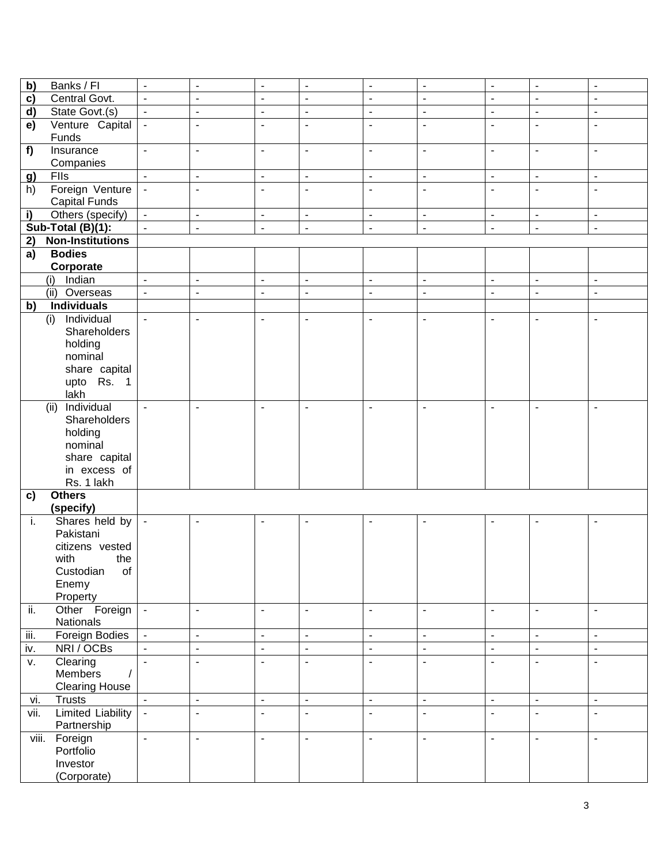| b)        | Banks / Fl                              | $\blacksquare$           | $\overline{\phantom{a}}$ | $\overline{\phantom{a}}$ | $\overline{\phantom{a}}$ | $\overline{\phantom{a}}$ | $\overline{\phantom{a}}$ | $\blacksquare$           | $\overline{\phantom{a}}$ | $\overline{\phantom{a}}$ |
|-----------|-----------------------------------------|--------------------------|--------------------------|--------------------------|--------------------------|--------------------------|--------------------------|--------------------------|--------------------------|--------------------------|
| c)        | Central Govt.                           | $\blacksquare$           | $\overline{\phantom{a}}$ | $\blacksquare$           | $\overline{\phantom{a}}$ | $\overline{\phantom{a}}$ | $\overline{\phantom{a}}$ | $\blacksquare$           | $\overline{\phantom{a}}$ | $\overline{\phantom{a}}$ |
| d)        | State Govt.(s)                          | $\overline{\phantom{a}}$ | $\overline{\phantom{a}}$ | $\blacksquare$           | $\overline{\phantom{a}}$ | $\blacksquare$           | $\overline{\phantom{a}}$ | $\blacksquare$           | $\overline{\phantom{a}}$ | $\overline{\phantom{a}}$ |
|           |                                         | $\blacksquare$           |                          |                          |                          | $\blacksquare$           |                          |                          |                          |                          |
| e)        | Venture Capital<br>Funds                |                          | $\overline{\phantom{a}}$ | $\overline{\phantom{a}}$ | $\overline{\phantom{a}}$ |                          | $\overline{\phantom{a}}$ | $\overline{\phantom{a}}$ | $\overline{\phantom{a}}$ | $\overline{\phantom{a}}$ |
| f)        | Insurance                               | $\blacksquare$           | $\overline{a}$           | $\blacksquare$           | $\overline{\phantom{a}}$ | $\blacksquare$           | $\overline{\phantom{a}}$ | $\overline{\phantom{a}}$ | $\overline{\phantom{a}}$ | $\blacksquare$           |
|           | Companies                               |                          |                          |                          |                          |                          |                          |                          |                          |                          |
| <u>g)</u> | Flls                                    | $\blacksquare$           | $\blacksquare$           | $\blacksquare$           | $\blacksquare$           | $\blacksquare$           | $\blacksquare$           | $\blacksquare$           | $\blacksquare$           | $\blacksquare$           |
| h)        | Foreign Venture<br><b>Capital Funds</b> | $\blacksquare$           | $\blacksquare$           | $\overline{\phantom{a}}$ | $\overline{\phantom{a}}$ | $\blacksquare$           | $\overline{\phantom{a}}$ | $\overline{\phantom{a}}$ | ÷                        | $\overline{\phantom{a}}$ |
| i)        | Others (specify)                        | $\blacksquare$           | $\blacksquare$           | $\blacksquare$           | $\overline{\phantom{a}}$ | $\mathbf{u}$             | $\blacksquare$           | $\blacksquare$           | $\blacksquare$           | $\blacksquare$           |
|           | Sub-Total (B)(1):                       | $\blacksquare$           | $\blacksquare$           | $\blacksquare$           | $\overline{\phantom{a}}$ | $\blacksquare$           | $\blacksquare$           | $\blacksquare$           | $\overline{\phantom{a}}$ | $\overline{\phantom{a}}$ |
| 2)        | <b>Non-Institutions</b>                 |                          |                          |                          |                          |                          |                          |                          |                          |                          |
| a)        | <b>Bodies</b>                           |                          |                          |                          |                          |                          |                          |                          |                          |                          |
|           | Corporate                               |                          |                          |                          |                          |                          |                          |                          |                          |                          |
|           | Indian<br>(i)                           | $\blacksquare$           | $\overline{a}$           | $\blacksquare$           | $\blacksquare$           | $\blacksquare$           | $\overline{\phantom{a}}$ | $\blacksquare$           | $\blacksquare$           | $\blacksquare$           |
|           | (ii) Overseas                           | $\blacksquare$           | ÷,                       | $\overline{\phantom{a}}$ | $\blacksquare$           | $\blacksquare$           | $\overline{\phantom{a}}$ | $\blacksquare$           | $\overline{\phantom{a}}$ | $\overline{\phantom{a}}$ |
| b)        | <b>Individuals</b>                      |                          |                          |                          |                          |                          |                          |                          |                          |                          |
|           | Individual                              | $\blacksquare$           | $\blacksquare$           | $\overline{\phantom{a}}$ | $\blacksquare$           | $\blacksquare$           | $\overline{a}$           | ÷,                       |                          |                          |
|           | (i)                                     |                          |                          |                          |                          |                          |                          |                          | $\overline{\phantom{a}}$ | $\blacksquare$           |
|           | Shareholders                            |                          |                          |                          |                          |                          |                          |                          |                          |                          |
|           | holding                                 |                          |                          |                          |                          |                          |                          |                          |                          |                          |
|           | nominal                                 |                          |                          |                          |                          |                          |                          |                          |                          |                          |
|           | share capital                           |                          |                          |                          |                          |                          |                          |                          |                          |                          |
|           | upto Rs. 1                              |                          |                          |                          |                          |                          |                          |                          |                          |                          |
|           | lakh                                    |                          |                          |                          |                          |                          |                          |                          |                          |                          |
|           | Individual<br>(ii)                      | $\blacksquare$           | $\blacksquare$           | $\blacksquare$           | $\blacksquare$           | $\blacksquare$           | $\overline{\phantom{a}}$ | $\blacksquare$           | ä,                       | $\overline{\phantom{a}}$ |
|           | Shareholders                            |                          |                          |                          |                          |                          |                          |                          |                          |                          |
|           | holding                                 |                          |                          |                          |                          |                          |                          |                          |                          |                          |
|           | nominal                                 |                          |                          |                          |                          |                          |                          |                          |                          |                          |
|           | share capital                           |                          |                          |                          |                          |                          |                          |                          |                          |                          |
|           | in excess of                            |                          |                          |                          |                          |                          |                          |                          |                          |                          |
|           | Rs. 1 lakh                              |                          |                          |                          |                          |                          |                          |                          |                          |                          |
| c)        | <b>Others</b>                           |                          |                          |                          |                          |                          |                          |                          |                          |                          |
|           | (specify)                               |                          |                          |                          |                          |                          |                          |                          |                          |                          |
| i.        | Shares held by                          | $\blacksquare$           | $\blacksquare$           | $\overline{\phantom{a}}$ | $\overline{\phantom{a}}$ | $\blacksquare$           | ÷                        | $\overline{\phantom{a}}$ | ۰                        | ۰                        |
|           | Pakistani                               |                          |                          |                          |                          |                          |                          |                          |                          |                          |
|           | citizens vested                         |                          |                          |                          |                          |                          |                          |                          |                          |                          |
|           | with<br>the                             |                          |                          |                          |                          |                          |                          |                          |                          |                          |
|           | Custodian<br>of                         |                          |                          |                          |                          |                          |                          |                          |                          |                          |
|           | Enemy                                   |                          |                          |                          |                          |                          |                          |                          |                          |                          |
|           | Property                                |                          |                          |                          |                          |                          |                          |                          |                          |                          |
| ii.       | Other Foreign                           | $\blacksquare$           | $\blacksquare$           | $\blacksquare$           | $\overline{\phantom{a}}$ | $\blacksquare$           | $\blacksquare$           | $\sim$                   | $\blacksquare$           | $\blacksquare$           |
|           | Nationals                               |                          |                          |                          |                          |                          |                          |                          |                          |                          |
| iii.      | Foreign Bodies                          | $\overline{\phantom{a}}$ | $\overline{\phantom{a}}$ | $\blacksquare$           | $\overline{\phantom{a}}$ | $\blacksquare$           | $\blacksquare$           | $\blacksquare$           | $\blacksquare$           | $\overline{\phantom{a}}$ |
| iv.       | NRI / OCBs                              | $\blacksquare$           | $\overline{\phantom{a}}$ | $\blacksquare$           | $\blacksquare$           | $\blacksquare$           | $\blacksquare$           | $\blacksquare$           | $\overline{\phantom{a}}$ | $\overline{\phantom{a}}$ |
| V.        | Clearing                                | $\blacksquare$           | $\blacksquare$           | $\overline{\phantom{a}}$ | $\overline{\phantom{a}}$ | $\blacksquare$           | $\overline{\phantom{a}}$ | $\blacksquare$           | $\overline{\phantom{a}}$ | $\overline{\phantom{a}}$ |
|           | Members                                 |                          |                          |                          |                          |                          |                          |                          |                          |                          |
|           |                                         |                          |                          |                          |                          |                          |                          |                          |                          |                          |
|           | <b>Clearing House</b>                   |                          |                          |                          |                          |                          |                          |                          |                          |                          |
| vi.       | <b>Trusts</b>                           | $\blacksquare$           | $\blacksquare$           | $\blacksquare$           | $\blacksquare$           | $\Box$                   | $\overline{\phantom{a}}$ | $\blacksquare$           | $\blacksquare$           | $\overline{\phantom{a}}$ |
| vii.      | <b>Limited Liability</b>                | $\blacksquare$           | ÷,                       | $\blacksquare$           | $\blacksquare$           | $\mathbf{u}$             | $\blacksquare$           | $\blacksquare$           | ä,                       | $\overline{\phantom{a}}$ |
|           | Partnership                             |                          |                          |                          |                          |                          |                          |                          |                          |                          |
| viii.     | Foreign                                 | $\blacksquare$           | $\overline{\phantom{a}}$ | $\blacksquare$           | $\blacksquare$           | $\blacksquare$           | $\overline{\phantom{a}}$ | $\blacksquare$           | $\overline{\phantom{a}}$ | $\overline{\phantom{a}}$ |
|           | Portfolio                               |                          |                          |                          |                          |                          |                          |                          |                          |                          |
|           | Investor                                |                          |                          |                          |                          |                          |                          |                          |                          |                          |
|           | (Corporate)                             |                          |                          |                          |                          |                          |                          |                          |                          |                          |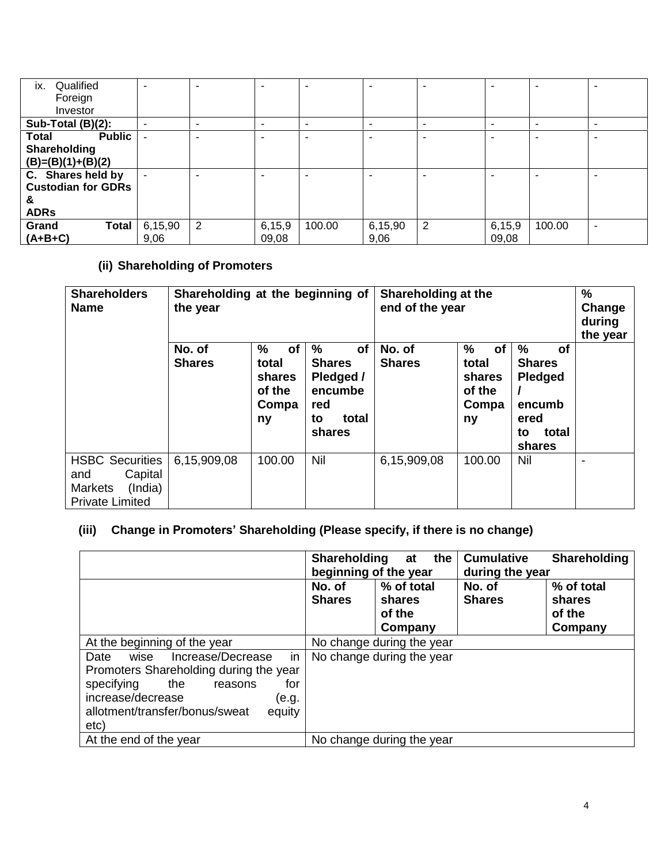| ix.<br>Qualified              | -              | -              |          | $\overline{\phantom{0}}$ | $\blacksquare$ | $\blacksquare$ | $\overline{\phantom{a}}$ | -                        |                          |
|-------------------------------|----------------|----------------|----------|--------------------------|----------------|----------------|--------------------------|--------------------------|--------------------------|
| Foreign                       |                |                |          |                          |                |                |                          |                          |                          |
| Investor                      |                |                |          |                          |                |                |                          |                          |                          |
| Sub-Total (B)(2):             | -              | -              |          | $\overline{\phantom{0}}$ | $\blacksquare$ | -              | $\overline{\phantom{a}}$ | $\overline{\phantom{0}}$ | $\overline{\phantom{0}}$ |
| <b>Public</b><br><b>Total</b> | $\blacksquare$ | -              |          | -                        | -              | $\blacksquare$ |                          | -                        |                          |
| Shareholding                  |                |                |          |                          |                |                |                          |                          |                          |
| $(B)=(B)(1)+(B)(2)$           |                |                |          |                          |                |                |                          |                          |                          |
| C. Shares held by             | $\blacksquare$ | -              |          | -                        | -              | -              |                          | $\overline{\phantom{0}}$ |                          |
| <b>Custodian for GDRs</b>     |                |                |          |                          |                |                |                          |                          |                          |
| &                             |                |                |          |                          |                |                |                          |                          |                          |
| <b>ADRs</b>                   |                |                |          |                          |                |                |                          |                          |                          |
| Grand<br>Total                | 6,15,90        | $\overline{2}$ | 6, 15, 9 | 100.00                   | 6,15,90        | $\overline{2}$ | 6,15,9                   | 100.00                   |                          |
| $(A+B+C)$                     | 9,06           |                | 09,08    |                          | 9,06           |                | 09,08                    |                          |                          |

# **(ii) Shareholding of Promoters**

| <b>Shareholders</b><br><b>Name</b>                                                              | Shareholding at the beginning of<br>the year |                                                     |                                                                                     | Shareholding at the<br>end of the year | $\%$<br>Change<br>during<br>the year                          |                                                                                |  |
|-------------------------------------------------------------------------------------------------|----------------------------------------------|-----------------------------------------------------|-------------------------------------------------------------------------------------|----------------------------------------|---------------------------------------------------------------|--------------------------------------------------------------------------------|--|
|                                                                                                 | No. of<br><b>Shares</b>                      | %<br>of<br>total<br>shares<br>of the<br>Compa<br>ny | $\%$<br>of<br><b>Shares</b><br>Pledged /<br>encumbe<br>red<br>total<br>to<br>shares | No. of<br><b>Shares</b>                | $\%$<br><b>of</b><br>total<br>shares<br>of the<br>Compa<br>ny | %<br>Οf<br><b>Shares</b><br>Pledged<br>encumb<br>ered<br>total<br>to<br>shares |  |
| <b>HSBC Securities</b><br>Capital<br>and<br>(India)<br><b>Markets</b><br><b>Private Limited</b> | 6,15,909,08                                  | 100.00                                              | Nil                                                                                 | 6,15,909,08                            | 100.00                                                        | Nil                                                                            |  |

# **(iii) Change in Promoters' Shareholding (Please specify, if there is no change)**

|                                                                                                                                                                                                            | <b>Shareholding</b><br>beginning of the year | the I<br>at                               | <b>Cumulative</b><br>during the year | <b>Shareholding</b>                       |
|------------------------------------------------------------------------------------------------------------------------------------------------------------------------------------------------------------|----------------------------------------------|-------------------------------------------|--------------------------------------|-------------------------------------------|
|                                                                                                                                                                                                            | No. of<br><b>Shares</b>                      | % of total<br>shares<br>of the<br>Company | No. of<br><b>Shares</b>              | % of total<br>shares<br>of the<br>Company |
| At the beginning of the year                                                                                                                                                                               |                                              | No change during the year                 |                                      |                                           |
| in<br>wise<br>Increase/Decrease<br>Date<br>Promoters Shareholding during the year<br>the<br>for<br>specifying<br>reasons<br>increase/decrease<br>(e.g.<br>allotment/transfer/bonus/sweat<br>equity<br>etc) |                                              | No change during the year                 |                                      |                                           |
| At the end of the year                                                                                                                                                                                     |                                              | No change during the year                 |                                      |                                           |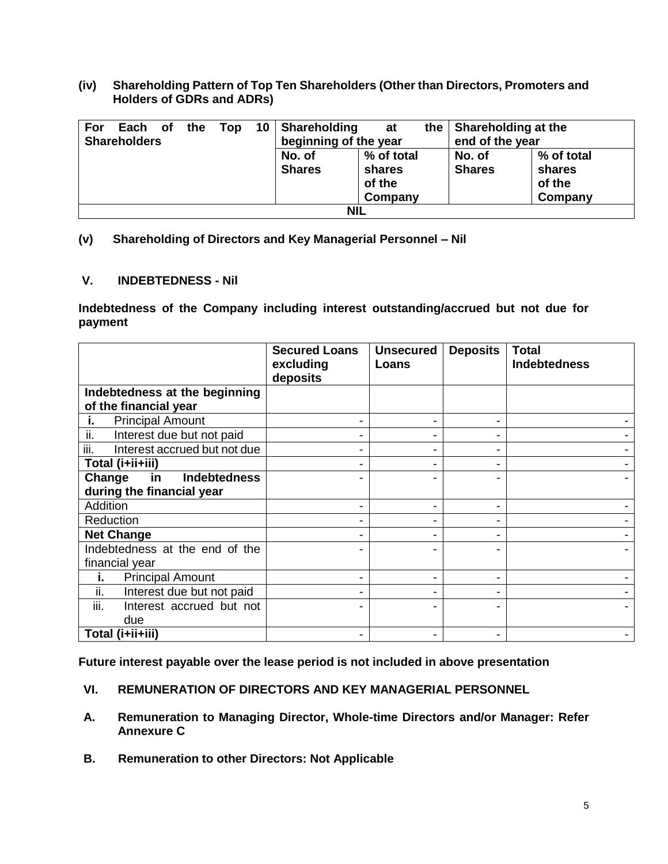**(iv) Shareholding Pattern of Top Ten Shareholders (Other than Directors, Promoters and Holders of GDRs and ADRs)**

| For | Each                | <b>of</b> | the | Top |  | 10   Shareholding     | at         |  | the   Shareholding at the |            |
|-----|---------------------|-----------|-----|-----|--|-----------------------|------------|--|---------------------------|------------|
|     | <b>Shareholders</b> |           |     |     |  | beginning of the year |            |  | end of the year           |            |
|     |                     |           |     |     |  | No. of                | % of total |  | No. of                    | % of total |
|     |                     |           |     |     |  | <b>Shares</b>         | shares     |  | <b>Shares</b>             | shares     |
|     |                     |           |     |     |  |                       | of the     |  |                           | of the     |
|     |                     |           |     |     |  |                       | Company    |  |                           | Company    |
|     | <b>NIL</b>          |           |     |     |  |                       |            |  |                           |            |

### **(v) Shareholding of Directors and Key Managerial Personnel – Nil**

#### **V. INDEBTEDNESS - Nil**

**Indebtedness of the Company including interest outstanding/accrued but not due for payment**

|                                      | <b>Secured Loans</b><br>excluding<br>deposits | <b>Unsecured</b><br>Loans | <b>Deposits</b> | <b>Total</b><br>Indebtedness |
|--------------------------------------|-----------------------------------------------|---------------------------|-----------------|------------------------------|
| Indebtedness at the beginning        |                                               |                           |                 |                              |
| of the financial year                |                                               |                           |                 |                              |
| <b>Principal Amount</b><br>L.        |                                               |                           |                 |                              |
| ii.<br>Interest due but not paid     | -                                             |                           |                 |                              |
| iii.<br>Interest accrued but not due | ۰                                             |                           |                 |                              |
| Total (i+ii+iii)                     |                                               |                           |                 |                              |
| <b>Indebtedness</b><br>Change<br>in  |                                               |                           |                 |                              |
| during the financial year            |                                               |                           |                 |                              |
| <b>Addition</b>                      |                                               |                           |                 |                              |
| Reduction                            |                                               |                           |                 |                              |
| <b>Net Change</b>                    |                                               |                           |                 |                              |
| Indebtedness at the end of the       |                                               |                           |                 |                              |
| financial year                       |                                               |                           |                 |                              |
| <b>Principal Amount</b><br>i.        | -                                             |                           |                 |                              |
| ii.<br>Interest due but not paid     |                                               |                           |                 |                              |
| iii.<br>Interest accrued but not     |                                               |                           |                 |                              |
| due                                  |                                               |                           |                 |                              |
| Total (i+ii+iii)                     |                                               |                           |                 |                              |

**Future interest payable over the lease period is not included in above presentation**

- **VI. REMUNERATION OF DIRECTORS AND KEY MANAGERIAL PERSONNEL**
- **A. Remuneration to Managing Director, Whole-time Directors and/or Manager: Refer Annexure C**
- **B. Remuneration to other Directors: Not Applicable**